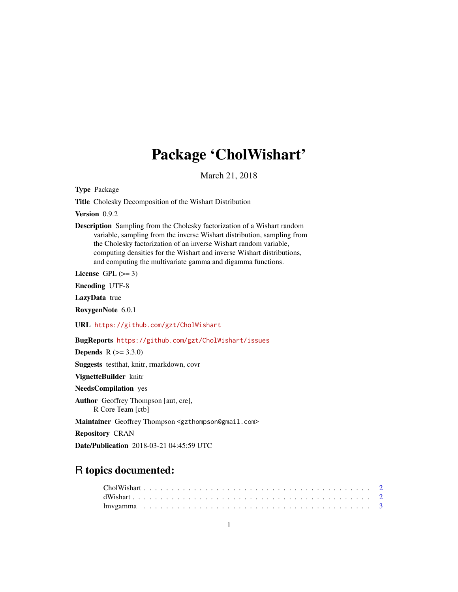# Package 'CholWishart'

March 21, 2018

<span id="page-0-0"></span>Type Package

Title Cholesky Decomposition of the Wishart Distribution

Version 0.9.2

Description Sampling from the Cholesky factorization of a Wishart random variable, sampling from the inverse Wishart distribution, sampling from the Cholesky factorization of an inverse Wishart random variable, computing densities for the Wishart and inverse Wishart distributions, and computing the multivariate gamma and digamma functions.

License GPL  $(>= 3)$ 

Encoding UTF-8

LazyData true

RoxygenNote 6.0.1

URL <https://github.com/gzt/CholWishart>

BugReports <https://github.com/gzt/CholWishart/issues>

**Depends**  $R (= 3.3.0)$ Suggests testthat, knitr, rmarkdown, covr

VignetteBuilder knitr

NeedsCompilation yes

Author Geoffrey Thompson [aut, cre], R Core Team [ctb]

Maintainer Geoffrey Thompson <gzthompson@gmail.com>

Repository CRAN

Date/Publication 2018-03-21 04:45:59 UTC

# R topics documented: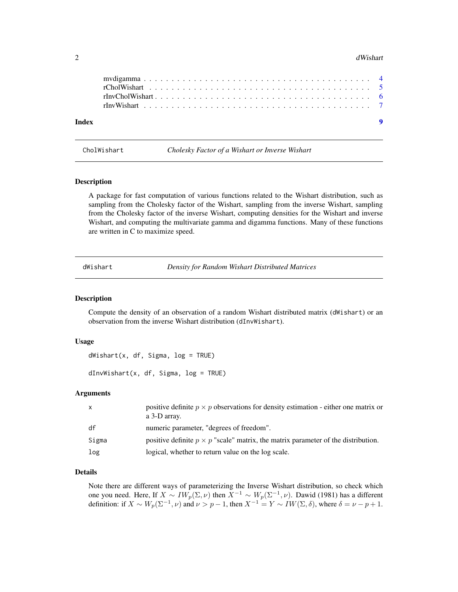#### <span id="page-1-0"></span>2 dWishart 2012 and 2013 and 2014 and 2014 and 2014 and 2014 and 2014 and 2014 and 2014 and 2014 and 2014 and 2014 and 2014 and 2014 and 2014 and 2014 and 2014 and 2014 and 2014 and 2014 and 2014 and 2014 and 2014 and 2014

| Index |  |  |  | $\blacksquare$ |
|-------|--|--|--|----------------|
|       |  |  |  |                |
|       |  |  |  |                |
|       |  |  |  |                |
|       |  |  |  |                |

|  | CholWishart |
|--|-------------|
|  |             |

Cholesky Factor of a Wishart or Inverse Wishart

#### Description

A package for fast computation of various functions related to the Wishart distribution, such as sampling from the Cholesky factor of the Wishart, sampling from the inverse Wishart, sampling from the Cholesky factor of the inverse Wishart, computing densities for the Wishart and inverse Wishart, and computing the multivariate gamma and digamma functions. Many of these functions are written in C to maximize speed.

dWishart *Density for Random Wishart Distributed Matrices*

# Description

Compute the density of an observation of a random Wishart distributed matrix (dWishart) or an observation from the inverse Wishart distribution (dInvWishart).

#### Usage

 $dWishart(x, df, Sigma, log = TRUE)$ 

dInvWishart(x, df, Sigma, log = TRUE)

# Arguments

| $\mathsf{x}$ | positive definite $p \times p$ observations for density estimation - either one matrix or<br>a 3-D array. |
|--------------|-----------------------------------------------------------------------------------------------------------|
| df           | numeric parameter, "degrees of freedom".                                                                  |
| Sigma        | positive definite $p \times p$ "scale" matrix, the matrix parameter of the distribution.                  |
| log          | logical, whether to return value on the log scale.                                                        |

### Details

Note there are different ways of parameterizing the Inverse Wishart distribution, so check which one you need. Here, If  $X \sim IW_p(\Sigma, \nu)$  then  $X^{-1} \sim W_p(\Sigma^{-1}, \nu)$ . Dawid (1981) has a different definition: if  $X \sim W_p(\Sigma^{-1}, \nu)$  and  $\nu > p - 1$ , then  $X^{-1} = Y \sim IW(\Sigma, \delta)$ , where  $\delta = \nu - p + 1$ .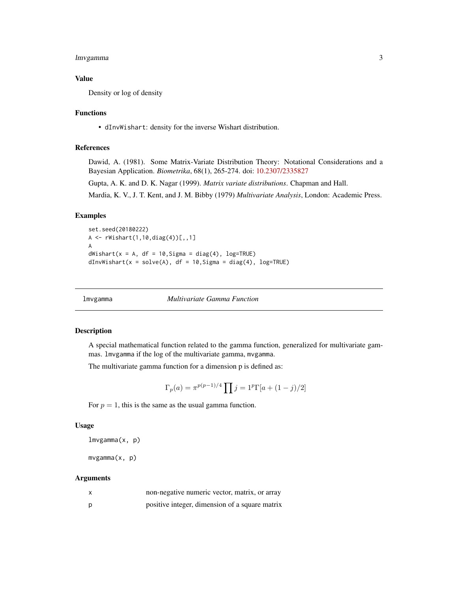# <span id="page-2-0"></span>lmvgamma 3

# Value

Density or log of density

# Functions

• dInvWishart: density for the inverse Wishart distribution.

# References

Dawid, A. (1981). Some Matrix-Variate Distribution Theory: Notational Considerations and a Bayesian Application. *Biometrika*, 68(1), 265-274. doi: [10.2307/2335827](http://doi.org/10.2307/2335827)

Gupta, A. K. and D. K. Nagar (1999). *Matrix variate distributions*. Chapman and Hall.

Mardia, K. V., J. T. Kent, and J. M. Bibby (1979) *Multivariate Analysis*, London: Academic Press.

# Examples

```
set.seed(20180222)
A <- rWishart(1,10,diag(4))[,,1]
A
dWishart(x = A, df = 10, Sigma = diag(4), log=TRUE)dInvWishart(x = solve(A), df = 10, Sigma = diag(4), log=TRUE)
```
lmvgamma *Multivariate Gamma Function*

# <span id="page-2-1"></span>Description

A special mathematical function related to the gamma function, generalized for multivariate gammas. lmvgamma if the log of the multivariate gamma, mvgamma.

The multivariate gamma function for a dimension p is defined as:

$$
\Gamma_p(a) = \pi^{p(p-1)/4} \prod_j j = 1^p \Gamma[a + (1-j)/2]
$$

For  $p = 1$ , this is the same as the usual gamma function.

#### Usage

lmvgamma(x, p)

mvgamma(x, p)

# Arguments

|   | non-negative numeric vector, matrix, or array  |
|---|------------------------------------------------|
| p | positive integer, dimension of a square matrix |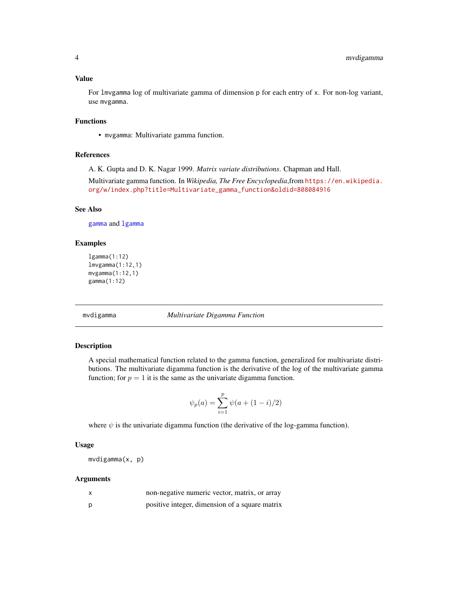# <span id="page-3-0"></span>Value

For lmvgamma log of multivariate gamma of dimension p for each entry of x. For non-log variant, use mvgamma.

# Functions

• mvgamma: Multivariate gamma function.

# References

A. K. Gupta and D. K. Nagar 1999. *Matrix variate distributions*. Chapman and Hall.

Multivariate gamma function. In *Wikipedia, The Free Encyclopedia*,from [https://en.wikipedia.](https://en.wikipedia.org/w/index.php?title=Multivariate_gamma_function&oldid=808084916) [org/w/index.php?title=Multivariate\\_gamma\\_function&oldid=808084916](https://en.wikipedia.org/w/index.php?title=Multivariate_gamma_function&oldid=808084916)

# See Also

[gamma](#page-0-0) and [lgamma](#page-0-0)

# Examples

```
lgamma(1:12)
lmvgamma(1:12,1)
mvgamma(1:12,1)
gamma(1:12)
```
mvdigamma *Multivariate Digamma Function*

# Description

A special mathematical function related to the gamma function, generalized for multivariate distributions. The multivariate digamma function is the derivative of the log of the multivariate gamma function; for  $p = 1$  it is the same as the univariate digamma function.

$$
\psi_p(a) = \sum_{i=1}^p \psi(a + (1 - i)/2)
$$

where  $\psi$  is the univariate digamma function (the derivative of the log-gamma function).

# Usage

mvdigamma(x, p)

#### **Arguments**

| non-negative numeric vector, matrix, or array  |
|------------------------------------------------|
| positive integer, dimension of a square matrix |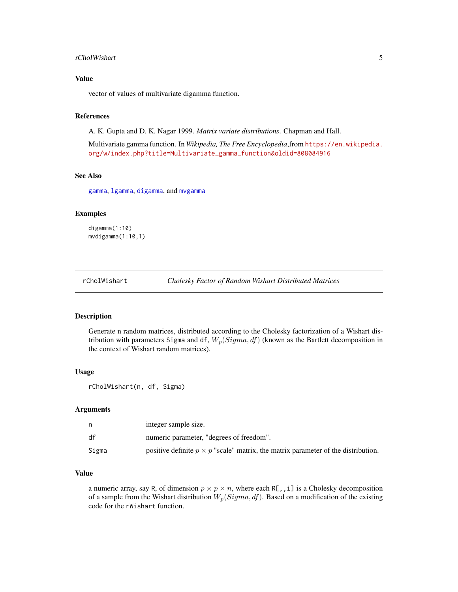#### <span id="page-4-0"></span>rCholWishart 5

# Value

vector of values of multivariate digamma function.

# References

A. K. Gupta and D. K. Nagar 1999. *Matrix variate distributions*. Chapman and Hall.

Multivariate gamma function. In *Wikipedia, The Free Encyclopedia*,from [https://en.wikipedia.](https://en.wikipedia.org/w/index.php?title=Multivariate_gamma_function&oldid=808084916) [org/w/index.php?title=Multivariate\\_gamma\\_function&oldid=808084916](https://en.wikipedia.org/w/index.php?title=Multivariate_gamma_function&oldid=808084916)

# See Also

[gamma](#page-0-0), [lgamma](#page-0-0), [digamma](#page-0-0), and [mvgamma](#page-2-1)

# Examples

digamma(1:10) mvdigamma(1:10,1)

<span id="page-4-1"></span>rCholWishart *Cholesky Factor of Random Wishart Distributed Matrices*

# Description

Generate n random matrices, distributed according to the Cholesky factorization of a Wishart distribution with parameters Sigma and df,  $W_p(Sigma, df)$  (known as the Bartlett decomposition in the context of Wishart random matrices).

#### Usage

rCholWishart(n, df, Sigma)

#### Arguments

|       | integer sample size.                                                                     |
|-------|------------------------------------------------------------------------------------------|
| df    | numeric parameter, "degrees of freedom".                                                 |
| Sigma | positive definite $p \times p$ "scale" matrix, the matrix parameter of the distribution. |

# Value

a numeric array, say R, of dimension  $p \times p \times n$ , where each R[,,i] is a Cholesky decomposition of a sample from the Wishart distribution  $W_p(Sigma, df)$ . Based on a modification of the existing code for the rWishart function.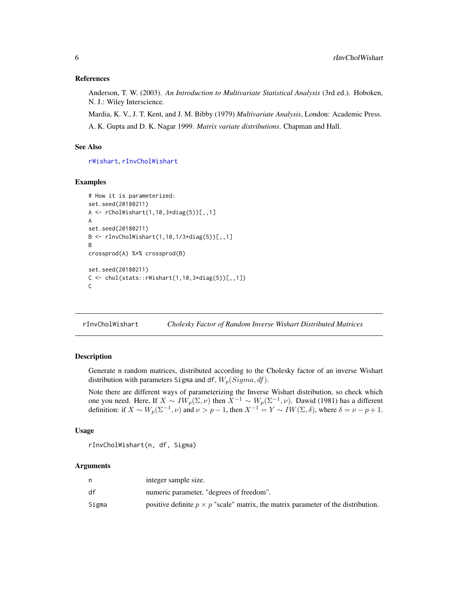# <span id="page-5-0"></span>References

Anderson, T. W. (2003). *An Introduction to Multivariate Statistical Analysis* (3rd ed.). Hoboken, N. J.: Wiley Interscience.

Mardia, K. V., J. T. Kent, and J. M. Bibby (1979) *Multivariate Analysis*, London: Academic Press. A. K. Gupta and D. K. Nagar 1999. *Matrix variate distributions*. Chapman and Hall.

# See Also

[rWishart](#page-0-0), [rInvCholWishart](#page-5-1)

# Examples

```
# How it is parameterized:
set.seed(20180211)
A <- rCholWishart(1,10,3*diag(5))[,,1]
A
set.seed(20180211)
B <- rInvCholWishart(1,10,1/3*diag(5))[,,1]
B
crossprod(A) %*% crossprod(B)
set.seed(20180211)
C \leftarrow \text{chol}(\text{stats}::\text{rWishart}(1,10,3*\text{diag}(5))[0,1])C
```
<span id="page-5-1"></span>rInvCholWishart *Cholesky Factor of Random Inverse Wishart Distributed Matrices*

# Description

Generate n random matrices, distributed according to the Cholesky factor of an inverse Wishart distribution with parameters Sigma and df,  $W_p(Sigma, df)$ .

Note there are different ways of parameterizing the Inverse Wishart distribution, so check which one you need. Here, If  $X \sim IW_p(\Sigma, \nu)$  then  $X^{-1} \sim W_p(\Sigma^{-1}, \nu)$ . Dawid (1981) has a different definition: if  $X \sim W_p(\Sigma^{-1}, \nu)$  and  $\nu > p - 1$ , then  $X^{-1} = Y \sim IW(\Sigma, \delta)$ , where  $\delta = \nu - p + 1$ .

# Usage

```
rInvCholWishart(n, df, Sigma)
```
# **Arguments**

|       | integer sample size.                                                                     |
|-------|------------------------------------------------------------------------------------------|
| df    | numeric parameter, "degrees of freedom".                                                 |
| Sigma | positive definite $p \times p$ "scale" matrix, the matrix parameter of the distribution. |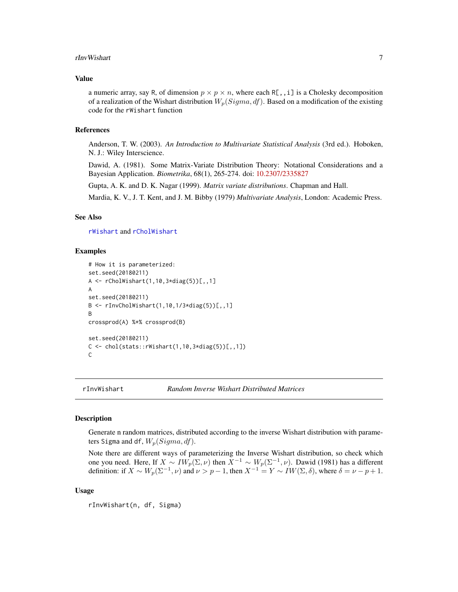#### <span id="page-6-0"></span>rInvWishart 7

#### Value

a numeric array, say R, of dimension  $p \times p \times n$ , where each R[,,i] is a Cholesky decomposition of a realization of the Wishart distribution  $W_p(Sigma, df)$ . Based on a modification of the existing code for the rWishart function

# References

Anderson, T. W. (2003). *An Introduction to Multivariate Statistical Analysis* (3rd ed.). Hoboken, N. J.: Wiley Interscience.

Dawid, A. (1981). Some Matrix-Variate Distribution Theory: Notational Considerations and a Bayesian Application. *Biometrika*, 68(1), 265-274. doi: [10.2307/2335827](http://doi.org/10.2307/2335827)

Gupta, A. K. and D. K. Nagar (1999). *Matrix variate distributions*. Chapman and Hall.

Mardia, K. V., J. T. Kent, and J. M. Bibby (1979) *Multivariate Analysis*, London: Academic Press.

# See Also

[rWishart](#page-0-0) and [rCholWishart](#page-4-1)

# Examples

```
# How it is parameterized:
set.seed(20180211)
A <- rCholWishart(1,10,3*diag(5))[,,1]
A
set.seed(20180211)
B \leq -rInvCholWishart(1,10,1/3*diag(5))[,,1]
B
crossprod(A) %*% crossprod(B)
set.seed(20180211)
C \leq - \text{chol}(stats::rWishart(1,10,3*diag(5))[1,1])C
```
rInvWishart *Random Inverse Wishart Distributed Matrices*

# Description

Generate n random matrices, distributed according to the inverse Wishart distribution with parameters Sigma and df,  $W_p(Sigma, df)$ .

Note there are different ways of parameterizing the Inverse Wishart distribution, so check which one you need. Here, If  $X \sim IW_p(\Sigma, \nu)$  then  $X^{-1} \sim W_p(\Sigma^{-1}, \nu)$ . Dawid (1981) has a different definition: if  $X \sim W_p(\Sigma^{-1}, \nu)$  and  $\nu > p - 1$ , then  $X^{-1} = Y \sim IW(\Sigma, \delta)$ , where  $\delta = \nu - p + 1$ .

#### Usage

rInvWishart(n, df, Sigma)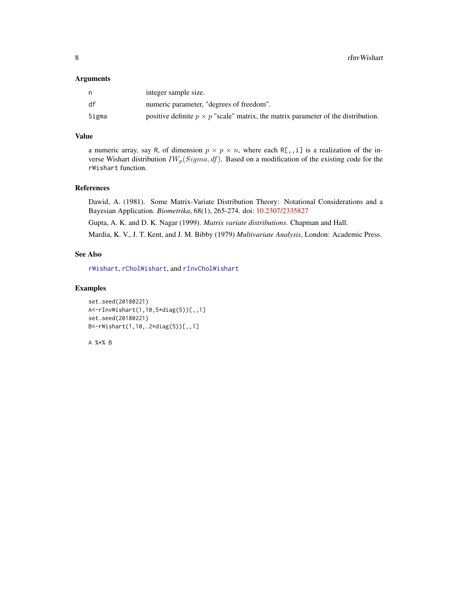#### <span id="page-7-0"></span>Arguments

|       | integer sample size.                                                                     |
|-------|------------------------------------------------------------------------------------------|
| df    | numeric parameter, "degrees of freedom".                                                 |
| Sigma | positive definite $p \times p$ "scale" matrix, the matrix parameter of the distribution. |

# Value

a numeric array, say R, of dimension  $p \times p \times n$ , where each R[,,i] is a realization of the inverse Wishart distribution  $IW_p(Sigma, df)$ . Based on a modification of the existing code for the rWishart function.

# References

Dawid, A. (1981). Some Matrix-Variate Distribution Theory: Notational Considerations and a Bayesian Application. *Biometrika*, 68(1), 265-274. doi: [10.2307/2335827](http://doi.org/10.2307/2335827)

Gupta, A. K. and D. K. Nagar (1999). *Matrix variate distributions*. Chapman and Hall.

Mardia, K. V., J. T. Kent, and J. M. Bibby (1979) *Multivariate Analysis*, London: Academic Press.

# See Also

[rWishart](#page-0-0), [rCholWishart](#page-4-1), and [rInvCholWishart](#page-5-1)

# Examples

```
set.seed(20180221)
A<-rInvWishart(1,10,5*diag(5))[,,1]
set.seed(20180221)
B<-rWishart(1,10,.2*diag(5))[,,1]
```
A %\*% B